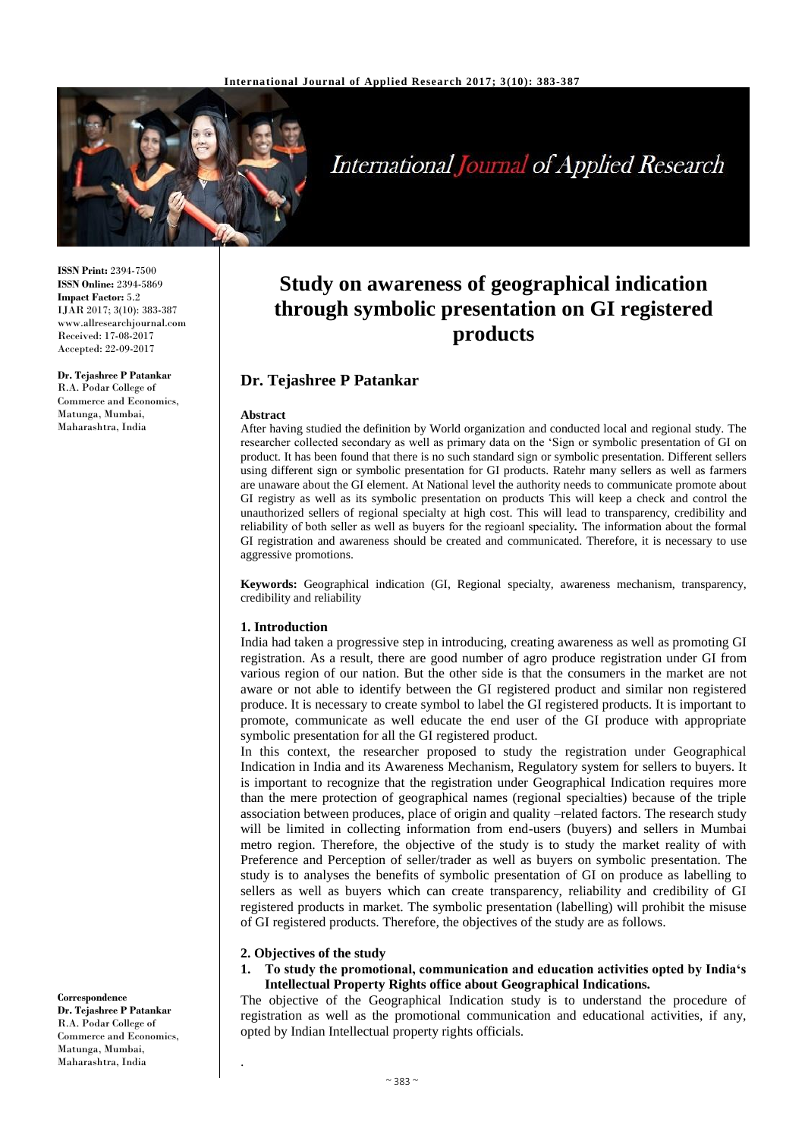

# **International Journal of Applied Research**

**ISSN Print:** 2394-7500 **ISSN Online:** 2394-5869 **Impact Factor:** 5.2 IJAR 2017; 3(10): 383-387 www.allresearchjournal.com Received: 17-08-2017 Accepted: 22-09-2017

**Dr. Tejashree P Patankar** R.A. Podar College of Commerce and Economics, Matunga, Mumbai, Maharashtra, India

**Study on awareness of geographical indication through symbolic presentation on GI registered products**

# **Dr. Tejashree P Patankar**

#### **Abstract**

After having studied the definition by World organization and conducted local and regional study. The researcher collected secondary as well as primary data on the 'Sign or symbolic presentation of GI on product. It has been found that there is no such standard sign or symbolic presentation. Different sellers using different sign or symbolic presentation for GI products. Ratehr many sellers as well as farmers are unaware about the GI element. At National level the authority needs to communicate promote about GI registry as well as its symbolic presentation on products This will keep a check and control the unauthorized sellers of regional specialty at high cost. This will lead to transparency, credibility and reliability of both seller as well as buyers for the regioanl speciality*.* The information about the formal GI registration and awareness should be created and communicated. Therefore, it is necessary to use aggressive promotions.

**Keywords:** Geographical indication (GI, Regional specialty, awareness mechanism, transparency, credibility and reliability

#### **1. Introduction**

India had taken a progressive step in introducing, creating awareness as well as promoting GI registration. As a result, there are good number of agro produce registration under GI from various region of our nation. But the other side is that the consumers in the market are not aware or not able to identify between the GI registered product and similar non registered produce. It is necessary to create symbol to label the GI registered products. It is important to promote, communicate as well educate the end user of the GI produce with appropriate symbolic presentation for all the GI registered product.

In this context, the researcher proposed to study the registration under Geographical Indication in India and its Awareness Mechanism, Regulatory system for sellers to buyers. It is important to recognize that the registration under Geographical Indication requires more than the mere protection of geographical names (regional specialties) because of the triple association between produces, place of origin and quality –related factors. The research study will be limited in collecting information from end-users (buyers) and sellers in Mumbai metro region. Therefore, the objective of the study is to study the market reality of with Preference and Perception of seller/trader as well as buyers on symbolic presentation. The study is to analyses the benefits of symbolic presentation of GI on produce as labelling to sellers as well as buyers which can create transparency, reliability and credibility of GI registered products in market. The symbolic presentation (labelling) will prohibit the misuse of GI registered products. Therefore, the objectives of the study are as follows.

#### **2. Objectives of the study**

.

#### **1. To study the promotional, communication and education activities opted by India's Intellectual Property Rights office about Geographical Indications.**

The objective of the Geographical Indication study is to understand the procedure of registration as well as the promotional communication and educational activities, if any, opted by Indian Intellectual property rights officials.

**Correspondence Dr. Tejashree P Patankar** R.A. Podar College of Commerce and Economics, Matunga, Mumbai, Maharashtra, India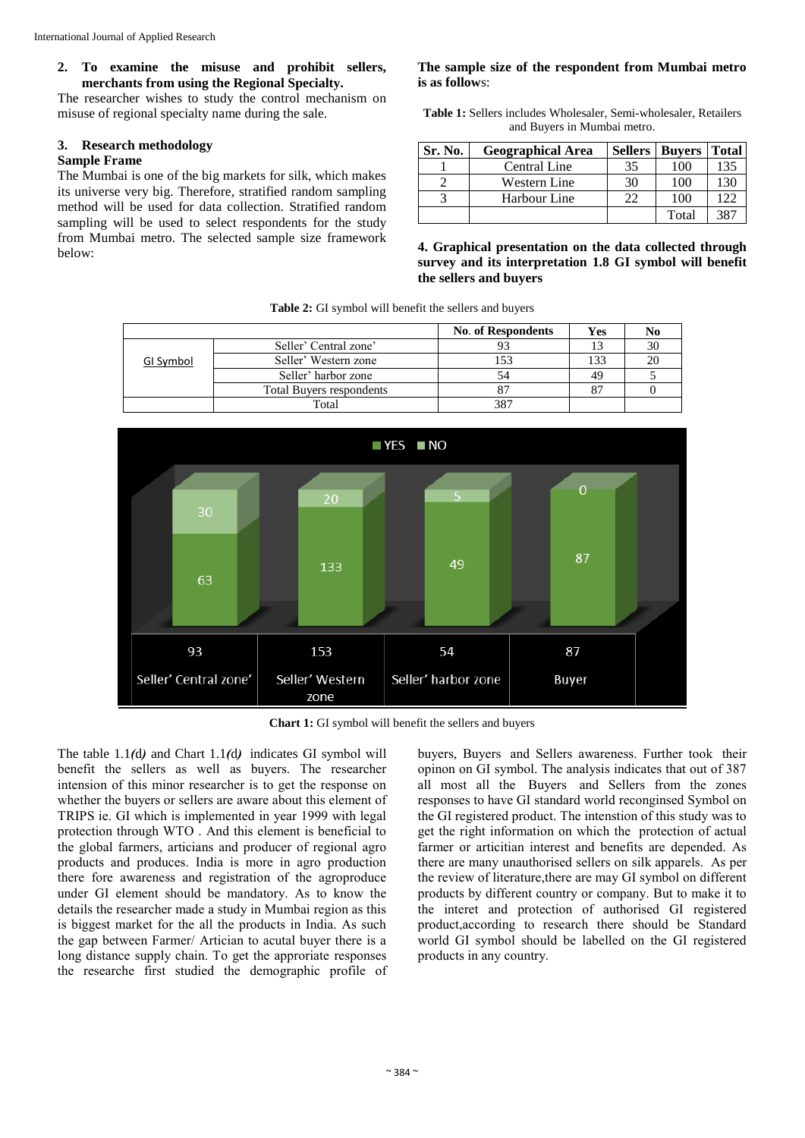# **2. To examine the misuse and prohibit sellers, merchants from using the Regional Specialty.**

The researcher wishes to study the control mechanism on misuse of regional specialty name during the sale.

### **3. Research methodology**

#### **Sample Frame**

The Mumbai is one of the big markets for silk, which makes its universe very big. Therefore, stratified random sampling method will be used for data collection. Stratified random sampling will be used to select respondents for the study from Mumbai metro. The selected sample size framework below:

#### **The sample size of the respondent from Mumbai metro is as follow**s:

**Table 1:** Sellers includes Wholesaler, Semi-wholesaler, Retailers and Buyers in Mumbai metro.

| Sr. No. | <b>Geographical Area</b> | <b>Sellers</b> | <b>Buvers</b> | <b>Total</b> |
|---------|--------------------------|----------------|---------------|--------------|
|         | Central Line             | 35             | 100           | 135          |
|         | <b>Western Line</b>      | 30             | 100           | 130          |
|         | Harbour Line             | 22             | 100           | 122          |
|         |                          |                | Total         | 387          |

#### **4. Graphical presentation on the data collected through survey and its interpretation 1.8 GI symbol will benefit the sellers and buyers**

**Table 2:** GI symbol will benefit the sellers and buyers

|           |                                 | <b>No. of Respondents</b> | Yes | No |
|-----------|---------------------------------|---------------------------|-----|----|
|           | Seller' Central zone'           |                           |     | 30 |
| GI Symbol | Seller' Western zone            | .53                       | 133 | 20 |
|           | Seller' harbor zone             | 54                        | 49  |    |
|           | <b>Total Buyers respondents</b> |                           | 87  |    |
|           | Total                           | 387                       |     |    |



**Chart 1:** GI symbol will benefit the sellers and buyers

The table 1.1*(*d*)* and Chart 1.1*(*d*)* indicates GI symbol will benefit the sellers as well as buyers. The researcher intension of this minor researcher is to get the response on whether the buyers or sellers are aware about this element of TRIPS ie. GI which is implemented in year 1999 with legal protection through WTO . And this element is beneficial to the global farmers, articians and producer of regional agro products and produces. India is more in agro production there fore awareness and registration of the agroproduce under GI element should be mandatory. As to know the details the researcher made a study in Mumbai region as this is biggest market for the all the products in India. As such the gap between Farmer/ Artician to acutal buyer there is a long distance supply chain. To get the approriate responses the researche first studied the demographic profile of buyers, Buyers and Sellers awareness. Further took their opinon on GI symbol. The analysis indicates that out of 387 all most all the Buyers and Sellers from the zones responses to have GI standard world reconginsed Symbol on the GI registered product. The intenstion of this study was to get the right information on which the protection of actual farmer or articitian interest and benefits are depended. As there are many unauthorised sellers on silk apparels. As per the review of literature,there are may GI symbol on different products by different country or company. But to make it to the interet and protection of authorised GI registered product,according to research there should be Standard world GI symbol should be labelled on the GI registered products in any country.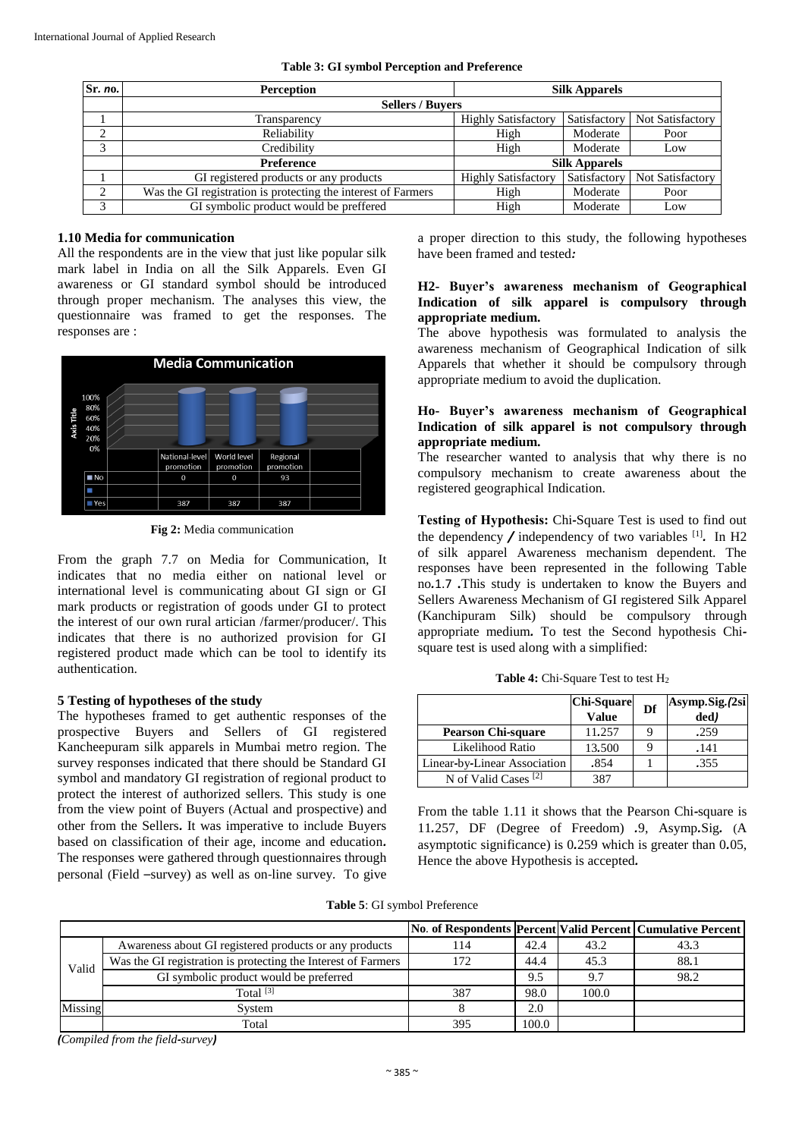| Sr. no. | <b>Perception</b>                                             |                            | <b>Silk Apparels</b> |                  |  |
|---------|---------------------------------------------------------------|----------------------------|----------------------|------------------|--|
|         | <b>Sellers / Buvers</b>                                       |                            |                      |                  |  |
|         | Transparency                                                  | <b>Highly Satisfactory</b> | Satisfactory         | Not Satisfactory |  |
| ◠       | Reliability                                                   | High                       | Moderate             | Poor             |  |
| $\sim$  | Credibility                                                   | High                       | Moderate             | Low              |  |
|         | <b>Preference</b>                                             |                            | <b>Silk Apparels</b> |                  |  |
|         | GI registered products or any products                        | <b>Highly Satisfactory</b> | Satisfactory         | Not Satisfactory |  |
| $\sim$  | Was the GI registration is protecting the interest of Farmers | High                       | Moderate             | Poor             |  |
| ◠       | GI symbolic product would be preffered                        | High                       | Moderate             | Low              |  |

|  |  | Table 3: GI symbol Perception and Preference |  |  |
|--|--|----------------------------------------------|--|--|
|--|--|----------------------------------------------|--|--|

#### **1.10 Media for communication**

All the respondents are in the view that just like popular silk mark label in India on all the Silk Apparels. Even GI awareness or GI standard symbol should be introduced through proper mechanism. The analyses this view, the questionnaire was framed to get the responses. The responses are :



**Fig 2:** Media communication

From the graph 7.7 on Media for Communication, It indicates that no media either on national level or international level is communicating about GI sign or GI mark products or registration of goods under GI to protect the interest of our own rural artician /farmer/producer/. This indicates that there is no authorized provision for GI registered product made which can be tool to identify its authentication.

# **5 Testing of hypotheses of the study**

The hypotheses framed to get authentic responses of the prospective Buyers and Sellers of GI registered Kancheepuram silk apparels in Mumbai metro region. The survey responses indicated that there should be Standard GI symbol and mandatory GI registration of regional product to protect the interest of authorized sellers. This study is one from the view point of Buyers (Actual and prospective) and other from the Sellers*.* It was imperative to include Buyers based on classification of their age, income and education*.* The responses were gathered through questionnaires through personal (Field –survey) as well as on*-*line survey*.* To give

a proper direction to this study, the following hypotheses have been framed and tested*:*

#### **H2- Buyer's awareness mechanism of Geographical Indication of silk apparel is compulsory through appropriate medium.**

The above hypothesis was formulated to analysis the awareness mechanism of Geographical Indication of silk Apparels that whether it should be compulsory through appropriate medium to avoid the duplication.

# **Ho- Buyer's awareness mechanism of Geographical Indication of silk apparel is not compulsory through appropriate medium.**

The researcher wanted to analysis that why there is no compulsory mechanism to create awareness about the registered geographical Indication.

**Testing of Hypothesis:** Chi*-*Square Test is used to find out the dependency */* independency of two variables [1] *.* In H2 of silk apparel Awareness mechanism dependent. The responses have been represented in the following Table no*.*1.7 *.*This study is undertaken to know the Buyers and Sellers Awareness Mechanism of GI registered Silk Apparel (Kanchipuram Silk) should be compulsory through appropriate medium*.* To test the Second hypothesis Chisquare test is used along with a simplified:

|  | <b>Table 4:</b> Chi-Square Test to test $H_2$ |  |  |
|--|-----------------------------------------------|--|--|
|--|-----------------------------------------------|--|--|

|                                 | <b>Chi-Square</b><br>Value | Df | Asymp.Sig.(2si<br>$\overline{ded}$ |
|---------------------------------|----------------------------|----|------------------------------------|
| <b>Pearson Chi-square</b>       | 11.257                     |    | .259                               |
| Likelihood Ratio                | 13.500                     |    | .141                               |
| Linear-by-Linear Association    | .854                       |    | .355                               |
| N of Valid Cases <sup>[2]</sup> | 387                        |    |                                    |

From the table 1.11 it shows that the Pearson Chi*-*square is 11*.*257, DF (Degree of Freedom) *.*9, Asymp*.*Sig*.* (A asymptotic significance) is 0*.*259 which is greater than 0*.*05, Hence the above Hypothesis is accepted*.*

**Table 5**: GI symbol Preference

|         |                                                               |     |       |       | No. of Respondents Percent Valid Percent Cumulative Percent |
|---------|---------------------------------------------------------------|-----|-------|-------|-------------------------------------------------------------|
|         | Awareness about GI registered products or any products        | 14  | 42.4  | 43.2  | 43.3                                                        |
| Valid   | Was the GI registration is protecting the Interest of Farmers | 172 | 44.4  | 45.3  | 88.1                                                        |
|         | GI symbolic product would be preferred                        |     | 9.5   | 9.7   | 98.2                                                        |
|         | Total $^{[3]}$                                                | 387 | 98.0  | 100.0 |                                                             |
| Missing | System                                                        |     | 2.0   |       |                                                             |
|         | Total                                                         | 395 | 100.0 |       |                                                             |

*(Compiled from the field-survey)*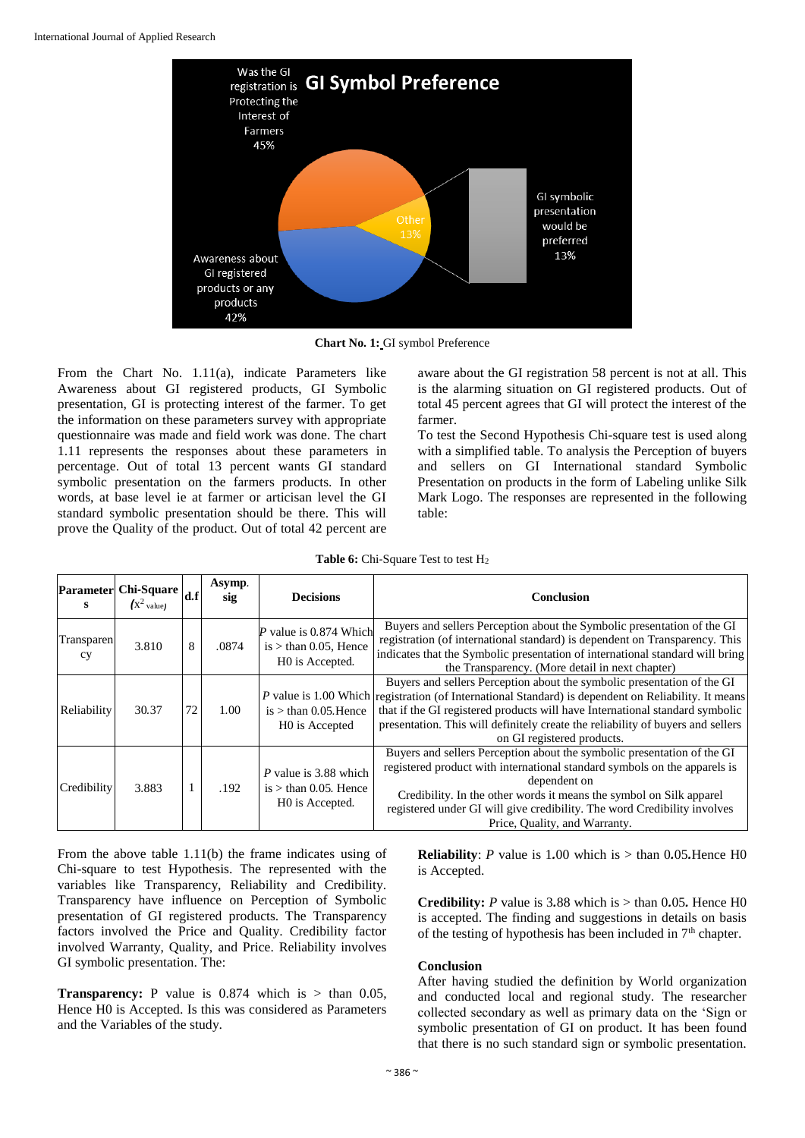

**Chart No. 1:** GI symbol Preference

From the Chart No. 1.11(a), indicate Parameters like Awareness about GI registered products, GI Symbolic presentation, GI is protecting interest of the farmer. To get the information on these parameters survey with appropriate questionnaire was made and field work was done. The chart 1.11 represents the responses about these parameters in percentage. Out of total 13 percent wants GI standard symbolic presentation on the farmers products. In other words, at base level ie at farmer or articisan level the GI standard symbolic presentation should be there. This will prove the Quality of the product. Out of total 42 percent are aware about the GI registration 58 percent is not at all. This is the alarming situation on GI registered products. Out of total 45 percent agrees that GI will protect the interest of the farmer.

To test the Second Hypothesis Chi-square test is used along with a simplified table. To analysis the Perception of buyers and sellers on GI International standard Symbolic Presentation on products in the form of Labeling unlike Silk Mark Logo. The responses are represented in the following table:

| s                | Parameter Chi-Square $\left  \text{d.f} \right $<br>$\int x^2$ value) |    | Asymp.<br>sig | <b>Decisions</b>                                                    | Conclusion                                                                                                                                                                                                                                                                                                                                                                       |
|------------------|-----------------------------------------------------------------------|----|---------------|---------------------------------------------------------------------|----------------------------------------------------------------------------------------------------------------------------------------------------------------------------------------------------------------------------------------------------------------------------------------------------------------------------------------------------------------------------------|
| Transparen<br>cy | 3.810                                                                 | 8  | .0874         | value is 0.874 Which<br>is $>$ than 0.05, Hence<br>HO is Accepted.  | Buyers and sellers Perception about the Symbolic presentation of the GI<br>registration (of international standard) is dependent on Transparency. This<br>indicates that the Symbolic presentation of international standard will bring<br>the Transparency. (More detail in next chapter)                                                                                       |
| Reliability      | 30.37                                                                 | 72 | 1.00          | $is > than 0.05$ . Hence<br>H0 is Accepted                          | Buyers and sellers Perception about the symbolic presentation of the GI<br>P value is 1.00 Which registration (of International Standard) is dependent on Reliability. It means<br>that if the GI registered products will have International standard symbolic<br>presentation. This will definitely create the reliability of buyers and sellers<br>on GI registered products. |
| Credibility      | 3.883                                                                 |    | .192          | P value is 3.88 which<br>is $>$ than 0.05. Hence<br>HO is Accepted. | Buyers and sellers Perception about the symbolic presentation of the GI<br>registered product with international standard symbols on the apparels is<br>dependent on<br>Credibility. In the other words it means the symbol on Silk apparel<br>registered under GI will give credibility. The word Credibility involves<br>Price, Quality, and Warranty.                         |

From the above table 1.11(b) the frame indicates using of Chi-square to test Hypothesis. The represented with the variables like Transparency, Reliability and Credibility. Transparency have influence on Perception of Symbolic presentation of GI registered products. The Transparency factors involved the Price and Quality. Credibility factor involved Warranty, Quality, and Price. Reliability involves GI symbolic presentation. The:

**Transparency:** P value is  $0.874$  which is  $>$  than  $0.05$ , Hence H0 is Accepted. Is this was considered as Parameters and the Variables of the study.

**Reliability**: *P* value is 1*.*00 which is > than 0*.*05*.*Hence H0 is Accepted.

**Credibility:** *P* value is 3.88 which is  $>$  than 0.05. Hence H0 is accepted. The finding and suggestions in details on basis of the testing of hypothesis has been included in  $7<sup>th</sup>$  chapter.

#### **Conclusion**

After having studied the definition by World organization and conducted local and regional study. The researcher collected secondary as well as primary data on the 'Sign or symbolic presentation of GI on product. It has been found that there is no such standard sign or symbolic presentation.